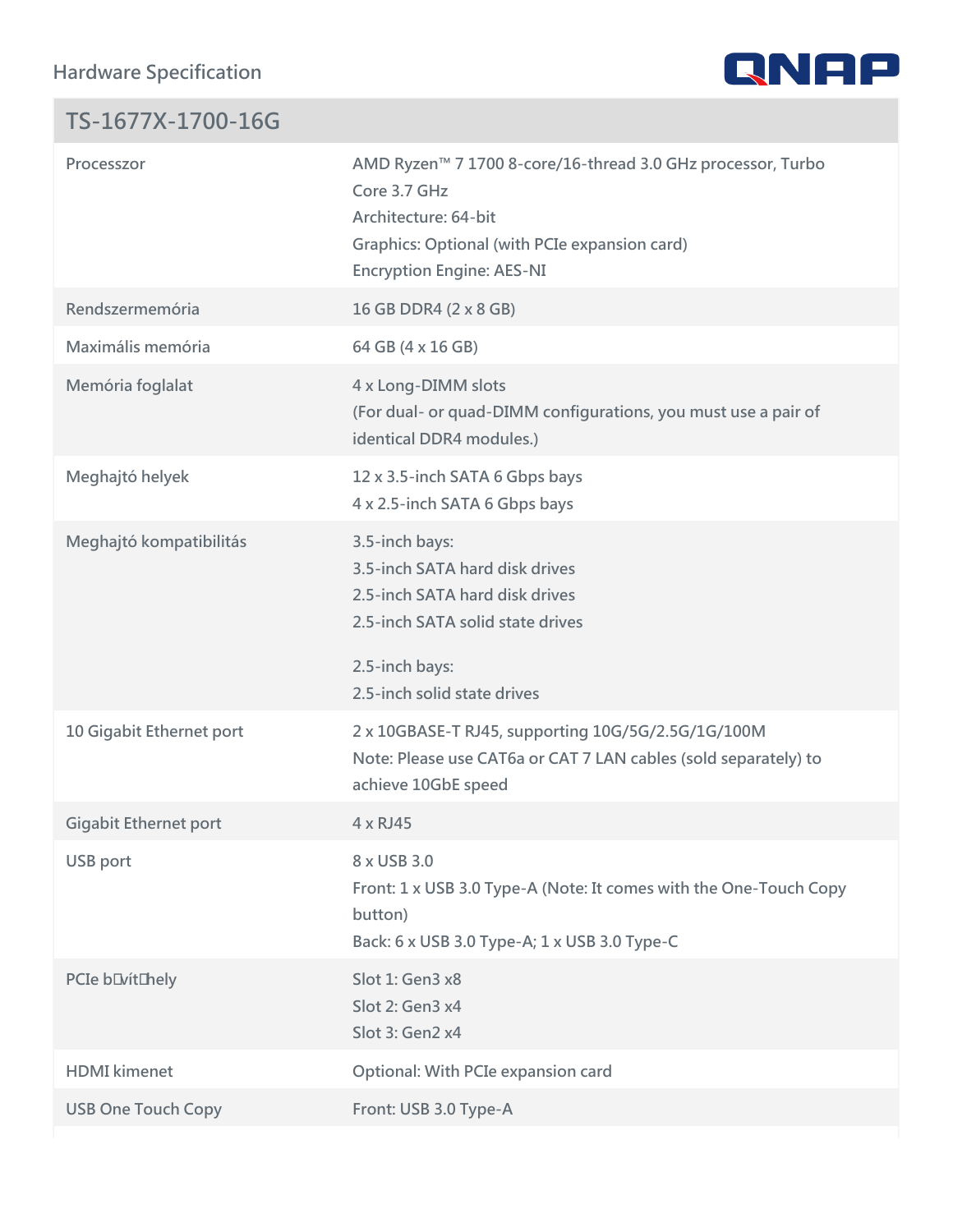Hardware Specification

| TS-1677X-1700-16G              |                                                                                                                                                                            |
|--------------------------------|----------------------------------------------------------------------------------------------------------------------------------------------------------------------------|
| Processzor                     | AMD Ryzen!" 7 1700 8-core/16-thread 3.0 GHz processo<br>Core 3.7 GHz<br>Architecture: 64-bit<br>Graphics: Optional (with PCIe expansion card)<br>Encryption Engine: AES-NI |
| Rendszermemória                | 16 GB DDR4 (2 x 8 GB)                                                                                                                                                      |
| Maximális memória              | 64 GB (4 x 16 GB)                                                                                                                                                          |
| Memória foglalat               | 4 x Long-DIMM slots<br>(For dual- or quad-DIMM configurations, you must use<br>identical DDR4 modules.)                                                                    |
| Meghajtó helyek                | 12 x 3.5-inch SATA 6 Gbps bays<br>4 x 2.5-inch SATA 6 Gbps bays                                                                                                            |
| Meghajtó kompatibilitás        | 3.5-inch bays:<br>3.5-inch SATA hard disk drives<br>2.5-inch SATA hard disk drives<br>2.5-inch SATA solid state drives<br>2.5-inch bays:<br>2.5-inch solid state drives    |
|                                | 10 Gigabit Ethernet port 2 x 10GBASE-T RJ45, supporting 10G/5G/2.5G/1G/100M<br>Note: Please use CAT6a or CAT 7 LAN cables (sold sep<br>achieve 10GbE speed                 |
| Gigabit Ethernet port 4 x RJ45 |                                                                                                                                                                            |
| USB port                       | 8 x USB 3.0<br>Front: 1 x USB 3.0 Type-A (Note: It comes with the One<br>button)<br>Back: 6 x USB 3.0 Type-A; 1 x USB 3.0 Type-C                                           |
| PCIe bQvítQhely                | Slot 1: Gen3 x8<br>Slot 2: Gen3 x4<br>Slot 3: Gen2 x4                                                                                                                      |
| HDMI kimenet                   | Optional: With PCIe expansion card                                                                                                                                         |
| USB One Touch Copy             | Front: USB 3.0 Type-A                                                                                                                                                      |